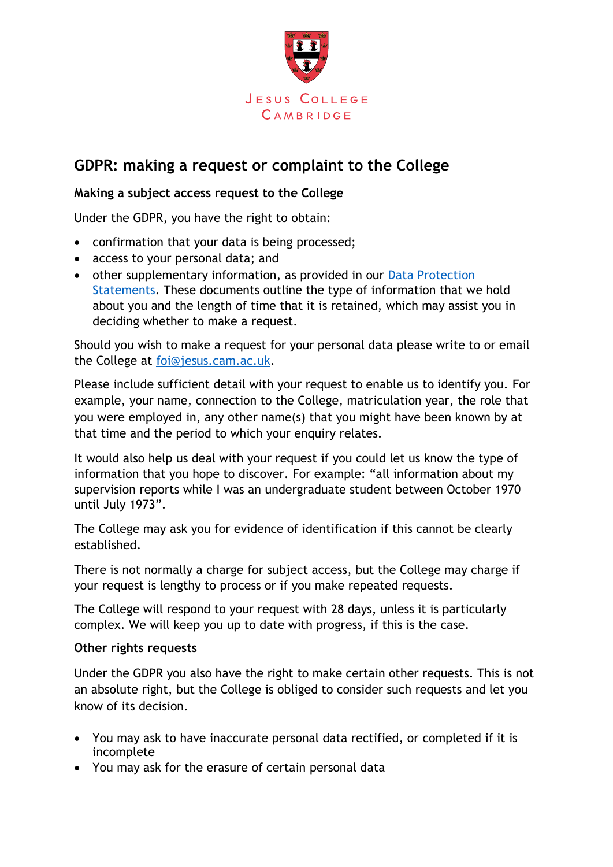

## **GDPR: making a request or complaint to the College**

## **Making a subject access request to the College**

Under the GDPR, you have the right to obtain:

- confirmation that your data is being processed;
- access to your personal data; and
- other supplementary information, as provided in our Data Protection [Statements.](https://www.jesus.cam.ac.uk/college/about-us/data-protection) These documents outline the type of information that we hold about you and the length of time that it is retained, which may assist you in deciding whether to make a request.

Should you wish to make a request for your personal data please write to or email the College at [foi@jesus.cam.ac.uk.](mailto:foi@jesus.cam.ac.uk)

Please include sufficient detail with your request to enable us to identify you. For example, your name, connection to the College, matriculation year, the role that you were employed in, any other name(s) that you might have been known by at that time and the period to which your enquiry relates.

It would also help us deal with your request if you could let us know the type of information that you hope to discover. For example: "all information about my supervision reports while I was an undergraduate student between October 1970 until July 1973".

The College may ask you for evidence of identification if this cannot be clearly established.

There is not normally a charge for subject access, but the College may charge if your request is lengthy to process or if you make repeated requests.

The College will respond to your request with 28 days, unless it is particularly complex. We will keep you up to date with progress, if this is the case.

## **Other rights requests**

Under the GDPR you also have the right to make certain other requests. This is not an absolute right, but the College is obliged to consider such requests and let you know of its decision.

- You may ask to have inaccurate personal data rectified, or completed if it is incomplete
- You may ask for the erasure of certain personal data